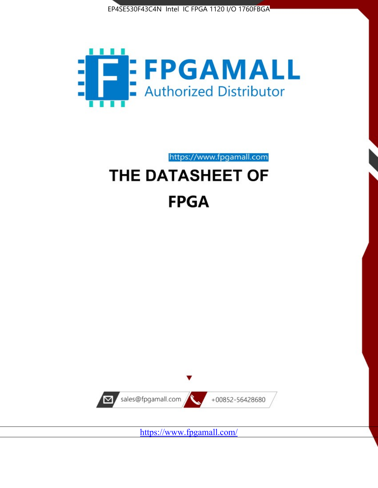



https://www.fpgamall.com

# THE DATASHEET OF **FPGA**



<https://www.fpgamall.com/>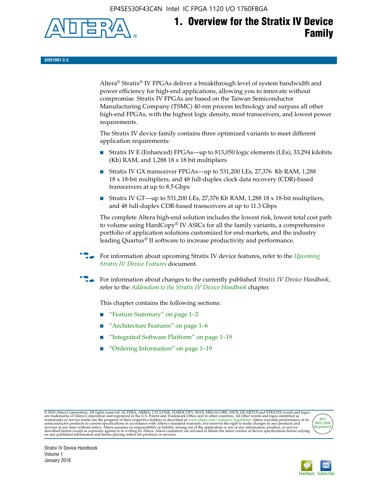EP4SE530F43C4N Intel IC FPGA 1120 I/O 1760FBGA



# **1. Overview for the Stratix IV Device Family**

**SIV51001-3.5**

Altera® Stratix® IV FPGAs deliver a breakthrough level of system bandwidth and power efficiency for high-end applications, allowing you to innovate without compromise. Stratix IV FPGAs are based on the Taiwan Semiconductor Manufacturing Company (TSMC) 40-nm process technology and surpass all other high-end FPGAs, with the highest logic density, most transceivers, and lowest power requirements.

The Stratix IV device family contains three optimized variants to meet different application requirements:

- Stratix IV E (Enhanced) FPGAs—up to 813,050 logic elements (LEs), 33,294 kilobits (Kb) RAM, and 1,288 18 x 18 bit multipliers
- Stratix IV GX transceiver FPGAs—up to 531,200 LEs, 27,376 Kb RAM, 1,288 18 x 18-bit multipliers, and 48 full-duplex clock data recovery (CDR)-based transceivers at up to 8.5 Gbps
- Stratix IV GT—up to 531,200 LEs, 27,376 Kb RAM, 1,288 18 x 18-bit multipliers, and 48 full-duplex CDR-based transceivers at up to 11.3 Gbps

The complete Altera high-end solution includes the lowest risk, lowest total cost path to volume using HardCopy® IV ASICs for all the family variants, a comprehensive portfolio of application solutions customized for end-markets, and the industry leading Quartus® II software to increase productivity and performance.

For information about upcoming Stratix IV device features, refer to the *Upcoming [Stratix IV Device Features](http://www.altera.com/literature/hb/stratix-iv/uf01001.pdf?GSA_pos=2&WT.oss_r=1&WT.oss=upcoming)* document.

f For information about changes to the currently published *Stratix IV Device Handbook*, refer to the *[Addendum to the Stratix IV Device Handbook](http://www.altera.com/literature/hb/stratix-iv/stx4_siv54002.pdf)* chapter.

This chapter contains the following sections:

- "Feature Summary" on page 1–2
- "Architecture Features" on page 1–6
- "Integrated Software Platform" on page 1–19
- "Ordering Information" on page 1–19

@2016 Altera Corporation. All rights reserved. ALTERA, ARRIA, CYCLONE, HARDCOPY, MAX, MEGACORE, NIOS, QUARTUS and STRATIX words and logos are trademarks of Altera Corporation and registered in the U.S. Patent and Trademark



Stratix IV Device Handbook Volume 1 January 2016

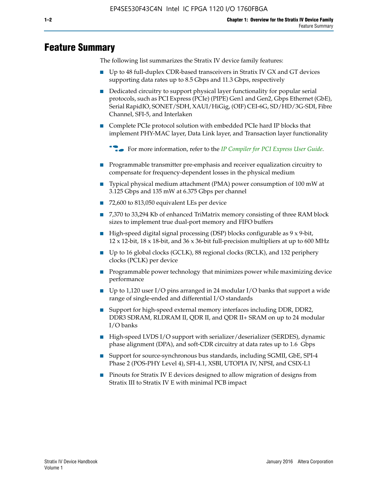# **Feature Summary**

The following list summarizes the Stratix IV device family features:

- Up to 48 full-duplex CDR-based transceivers in Stratix IV GX and GT devices supporting data rates up to 8.5 Gbps and 11.3 Gbps, respectively
- Dedicated circuitry to support physical layer functionality for popular serial protocols, such as PCI Express (PCIe) (PIPE) Gen1 and Gen2, Gbps Ethernet (GbE), Serial RapidIO, SONET/SDH, XAUI/HiGig, (OIF) CEI-6G, SD/HD/3G-SDI, Fibre Channel, SFI-5, and Interlaken
- Complete PCIe protocol solution with embedded PCIe hard IP blocks that implement PHY-MAC layer, Data Link layer, and Transaction layer functionality

**For more information, refer to the** *[IP Compiler for PCI Express User Guide](http://www.altera.com/literature/ug/ug_pci_express.pdf)***.** 

- Programmable transmitter pre-emphasis and receiver equalization circuitry to compensate for frequency-dependent losses in the physical medium
- Typical physical medium attachment (PMA) power consumption of 100 mW at 3.125 Gbps and 135 mW at 6.375 Gbps per channel
- 72,600 to 813,050 equivalent LEs per device
- 7,370 to 33,294 Kb of enhanced TriMatrix memory consisting of three RAM block sizes to implement true dual-port memory and FIFO buffers
- High-speed digital signal processing (DSP) blocks configurable as 9 x 9-bit,  $12 \times 12$ -bit,  $18 \times 18$ -bit, and  $36 \times 36$ -bit full-precision multipliers at up to 600 MHz
- Up to 16 global clocks (GCLK), 88 regional clocks (RCLK), and 132 periphery clocks (PCLK) per device
- Programmable power technology that minimizes power while maximizing device performance
- Up to 1,120 user I/O pins arranged in 24 modular I/O banks that support a wide range of single-ended and differential I/O standards
- Support for high-speed external memory interfaces including DDR, DDR2, DDR3 SDRAM, RLDRAM II, QDR II, and QDR II+ SRAM on up to 24 modular I/O banks
- High-speed LVDS I/O support with serializer/deserializer (SERDES), dynamic phase alignment (DPA), and soft-CDR circuitry at data rates up to 1.6 Gbps
- Support for source-synchronous bus standards, including SGMII, GbE, SPI-4 Phase 2 (POS-PHY Level 4), SFI-4.1, XSBI, UTOPIA IV, NPSI, and CSIX-L1
- Pinouts for Stratix IV E devices designed to allow migration of designs from Stratix III to Stratix IV E with minimal PCB impact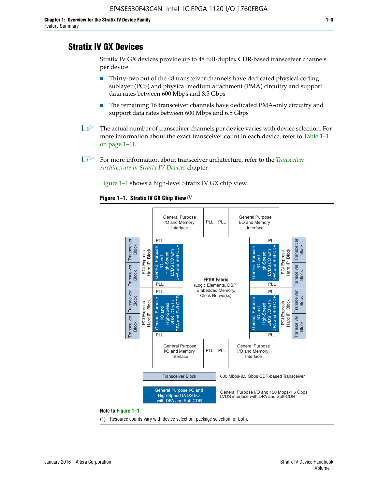# **Stratix IV GX Devices**

Stratix IV GX devices provide up to 48 full-duplex CDR-based transceiver channels per device:

- Thirty-two out of the 48 transceiver channels have dedicated physical coding sublayer (PCS) and physical medium attachment (PMA) circuitry and support data rates between 600 Mbps and 8.5 Gbps
- The remaining 16 transceiver channels have dedicated PMA-only circuitry and support data rates between 600 Mbps and 6.5 Gbps
- **1 The actual number of transceiver channels per device varies with device selection. For** more information about the exact transceiver count in each device, refer to Table 1–1 on page 1–11.
- 1 For more information about transceiver architecture, refer to the *[Transceiver](http://www.altera.com/literature/hb/stratix-iv/stx4_siv52001.pdf)  [Architecture in Stratix IV Devices](http://www.altera.com/literature/hb/stratix-iv/stx4_siv52001.pdf)* chapter.

Figure 1–1 shows a high-level Stratix IV GX chip view.

#### **Figure 1–1. Stratix IV GX Chip View** *(1)*



#### **Note to Figure 1–1:**

(1) Resource counts vary with device selection, package selection, or both.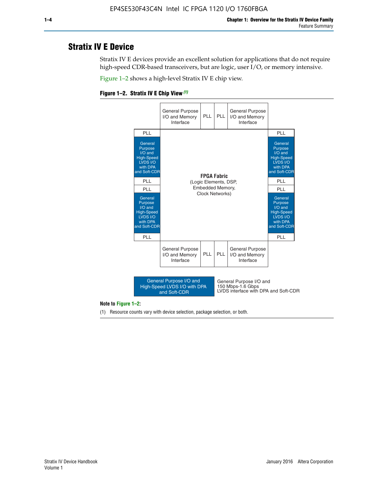# **Stratix IV E Device**

Stratix IV E devices provide an excellent solution for applications that do not require high-speed CDR-based transceivers, but are logic, user I/O, or memory intensive.

Figure 1–2 shows a high-level Stratix IV E chip view.





#### **Note to Figure 1–2:**

(1) Resource counts vary with device selection, package selection, or both.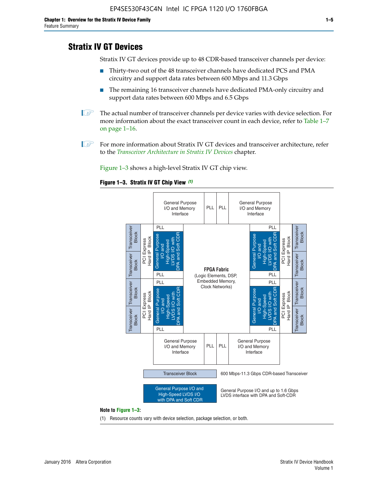# **Stratix IV GT Devices**

Stratix IV GT devices provide up to 48 CDR-based transceiver channels per device:

- Thirty-two out of the 48 transceiver channels have dedicated PCS and PMA circuitry and support data rates between 600 Mbps and 11.3 Gbps
- The remaining 16 transceiver channels have dedicated PMA-only circuitry and support data rates between 600 Mbps and 6.5 Gbps
- **1** The actual number of transceiver channels per device varies with device selection. For more information about the exact transceiver count in each device, refer to Table 1–7 on page 1–16.
- $\mathbb{I}$  For more information about Stratix IV GT devices and transceiver architecture, refer to the *[Transceiver Architecture in Stratix IV Devices](http://www.altera.com/literature/hb/stratix-iv/stx4_siv52001.pdf)* chapter.

Figure 1–3 shows a high-level Stratix IV GT chip view.

#### **Figure 1–3. Stratix IV GT Chip View** *(1)*



(1) Resource counts vary with device selection, package selection, or both.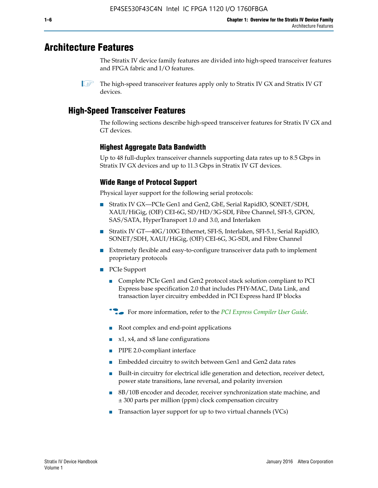# **Architecture Features**

The Stratix IV device family features are divided into high-speed transceiver features and FPGA fabric and I/O features.

 $\mathbb{I}$  The high-speed transceiver features apply only to Stratix IV GX and Stratix IV GT devices.

# **High-Speed Transceiver Features**

The following sections describe high-speed transceiver features for Stratix IV GX and GT devices.

## **Highest Aggregate Data Bandwidth**

Up to 48 full-duplex transceiver channels supporting data rates up to 8.5 Gbps in Stratix IV GX devices and up to 11.3 Gbps in Stratix IV GT devices.

# **Wide Range of Protocol Support**

Physical layer support for the following serial protocols:

- Stratix IV GX—PCIe Gen1 and Gen2, GbE, Serial RapidIO, SONET/SDH, XAUI/HiGig, (OIF) CEI-6G, SD/HD/3G-SDI, Fibre Channel, SFI-5, GPON, SAS/SATA, HyperTransport 1.0 and 3.0, and Interlaken
- Stratix IV GT—40G/100G Ethernet, SFI-S, Interlaken, SFI-5.1, Serial RapidIO, SONET/SDH, XAUI/HiGig, (OIF) CEI-6G, 3G-SDI, and Fibre Channel
- Extremely flexible and easy-to-configure transceiver data path to implement proprietary protocols
- PCIe Support
	- Complete PCIe Gen1 and Gen2 protocol stack solution compliant to PCI Express base specification 2.0 that includes PHY-MAC, Data Link, and transaction layer circuitry embedded in PCI Express hard IP blocks
	- **For more information, refer to the [PCI Express Compiler User Guide](http://www.altera.com/literature/ug/ug_pci_express.pdf).**
	- Root complex and end-point applications
	- $x1, x4,$  and  $x8$  lane configurations
	- PIPE 2.0-compliant interface
	- Embedded circuitry to switch between Gen1 and Gen2 data rates
	- Built-in circuitry for electrical idle generation and detection, receiver detect, power state transitions, lane reversal, and polarity inversion
	- 8B/10B encoder and decoder, receiver synchronization state machine, and ± 300 parts per million (ppm) clock compensation circuitry
	- Transaction layer support for up to two virtual channels (VCs)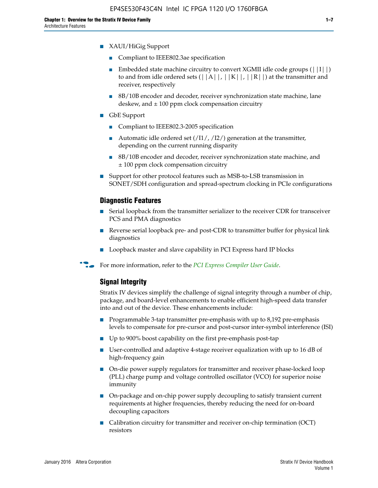- XAUI/HiGig Support
	- Compliant to IEEE802.3ae specification
	- **■** Embedded state machine circuitry to convert XGMII idle code groups  $(|11|)$ to and from idle ordered sets  $(|A|, |K|, |R|)$  at the transmitter and receiver, respectively
	- 8B/10B encoder and decoder, receiver synchronization state machine, lane deskew, and  $\pm 100$  ppm clock compensation circuitry
- GbE Support
	- Compliant to IEEE802.3-2005 specification
	- Automatic idle ordered set  $(111/112/1)$  generation at the transmitter, depending on the current running disparity
	- 8B/10B encoder and decoder, receiver synchronization state machine, and ± 100 ppm clock compensation circuitry
- Support for other protocol features such as MSB-to-LSB transmission in SONET/SDH configuration and spread-spectrum clocking in PCIe configurations

#### **Diagnostic Features**

- Serial loopback from the transmitter serializer to the receiver CDR for transceiver PCS and PMA diagnostics
- Reverse serial loopback pre- and post-CDR to transmitter buffer for physical link diagnostics
- Loopback master and slave capability in PCI Express hard IP blocks
- **For more information, refer to the** *[PCI Express Compiler User Guide](http://www.altera.com/literature/ug/ug_pci_express.pdf)***.**

### **Signal Integrity**

Stratix IV devices simplify the challenge of signal integrity through a number of chip, package, and board-level enhancements to enable efficient high-speed data transfer into and out of the device. These enhancements include:

- Programmable 3-tap transmitter pre-emphasis with up to 8,192 pre-emphasis levels to compensate for pre-cursor and post-cursor inter-symbol interference (ISI)
- Up to 900% boost capability on the first pre-emphasis post-tap
- User-controlled and adaptive 4-stage receiver equalization with up to 16 dB of high-frequency gain
- On-die power supply regulators for transmitter and receiver phase-locked loop (PLL) charge pump and voltage controlled oscillator (VCO) for superior noise immunity
- On-package and on-chip power supply decoupling to satisfy transient current requirements at higher frequencies, thereby reducing the need for on-board decoupling capacitors
- Calibration circuitry for transmitter and receiver on-chip termination (OCT) resistors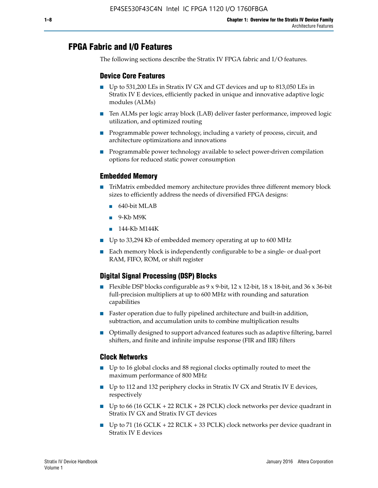# **FPGA Fabric and I/O Features**

The following sections describe the Stratix IV FPGA fabric and I/O features.

### **Device Core Features**

- Up to 531,200 LEs in Stratix IV GX and GT devices and up to 813,050 LEs in Stratix IV E devices, efficiently packed in unique and innovative adaptive logic modules (ALMs)
- Ten ALMs per logic array block (LAB) deliver faster performance, improved logic utilization, and optimized routing
- Programmable power technology, including a variety of process, circuit, and architecture optimizations and innovations
- Programmable power technology available to select power-driven compilation options for reduced static power consumption

### **Embedded Memory**

- TriMatrix embedded memory architecture provides three different memory block sizes to efficiently address the needs of diversified FPGA designs:
	- 640-bit MLAB
	- 9-Kb M9K
	- 144-Kb M144K
- Up to 33,294 Kb of embedded memory operating at up to 600 MHz
- Each memory block is independently configurable to be a single- or dual-port RAM, FIFO, ROM, or shift register

# **Digital Signal Processing (DSP) Blocks**

- Flexible DSP blocks configurable as  $9 \times 9$ -bit,  $12 \times 12$ -bit,  $18 \times 18$ -bit, and  $36 \times 36$ -bit full-precision multipliers at up to 600 MHz with rounding and saturation capabilities
- Faster operation due to fully pipelined architecture and built-in addition, subtraction, and accumulation units to combine multiplication results
- Optimally designed to support advanced features such as adaptive filtering, barrel shifters, and finite and infinite impulse response (FIR and IIR) filters

### **Clock Networks**

- Up to 16 global clocks and 88 regional clocks optimally routed to meet the maximum performance of 800 MHz
- Up to 112 and 132 periphery clocks in Stratix IV GX and Stratix IV E devices, respectively
- Up to 66 (16 GCLK + 22 RCLK + 28 PCLK) clock networks per device quadrant in Stratix IV GX and Stratix IV GT devices
- Up to 71 (16 GCLK + 22 RCLK + 33 PCLK) clock networks per device quadrant in Stratix IV E devices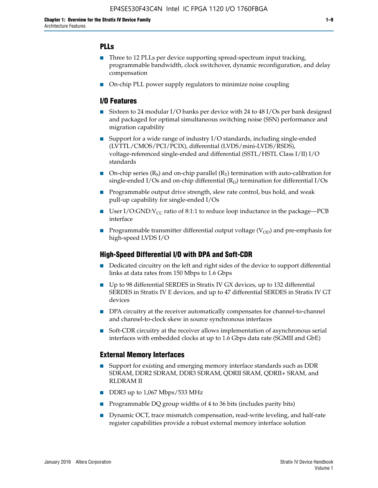## **PLLs**

- Three to 12 PLLs per device supporting spread-spectrum input tracking, programmable bandwidth, clock switchover, dynamic reconfiguration, and delay compensation
- On-chip PLL power supply regulators to minimize noise coupling

### **I/O Features**

- Sixteen to 24 modular I/O banks per device with 24 to 48 I/Os per bank designed and packaged for optimal simultaneous switching noise (SSN) performance and migration capability
- Support for a wide range of industry I/O standards, including single-ended (LVTTL/CMOS/PCI/PCIX), differential (LVDS/mini-LVDS/RSDS), voltage-referenced single-ended and differential (SSTL/HSTL Class I/II) I/O standards
- **O**n-chip series  $(R_S)$  and on-chip parallel  $(R_T)$  termination with auto-calibration for single-ended I/Os and on-chip differential  $(R_D)$  termination for differential I/Os
- Programmable output drive strength, slew rate control, bus hold, and weak pull-up capability for single-ended I/Os
- User I/O:GND: $V_{CC}$  ratio of 8:1:1 to reduce loop inductance in the package—PCB interface
- **■** Programmable transmitter differential output voltage ( $V_{OD}$ ) and pre-emphasis for high-speed LVDS I/O

#### **High-Speed Differential I/O with DPA and Soft-CDR**

- Dedicated circuitry on the left and right sides of the device to support differential links at data rates from 150 Mbps to 1.6 Gbps
- Up to 98 differential SERDES in Stratix IV GX devices, up to 132 differential SERDES in Stratix IV E devices, and up to 47 differential SERDES in Stratix IV GT devices
- DPA circuitry at the receiver automatically compensates for channel-to-channel and channel-to-clock skew in source synchronous interfaces
- Soft-CDR circuitry at the receiver allows implementation of asynchronous serial interfaces with embedded clocks at up to 1.6 Gbps data rate (SGMII and GbE)

#### **External Memory Interfaces**

- Support for existing and emerging memory interface standards such as DDR SDRAM, DDR2 SDRAM, DDR3 SDRAM, QDRII SRAM, QDRII+ SRAM, and RLDRAM II
- DDR3 up to 1,067 Mbps/533 MHz
- Programmable DQ group widths of 4 to 36 bits (includes parity bits)
- Dynamic OCT, trace mismatch compensation, read-write leveling, and half-rate register capabilities provide a robust external memory interface solution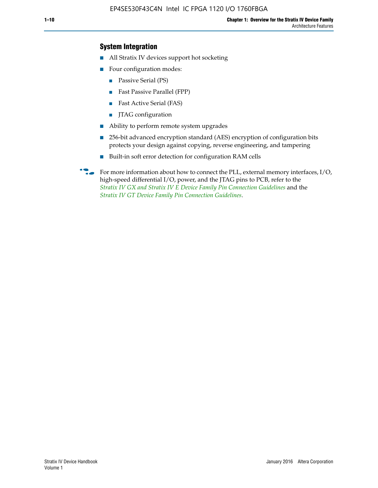## **System Integration**

- All Stratix IV devices support hot socketing
- Four configuration modes:
	- Passive Serial (PS)
	- Fast Passive Parallel (FPP)
	- Fast Active Serial (FAS)
	- JTAG configuration
- Ability to perform remote system upgrades
- 256-bit advanced encryption standard (AES) encryption of configuration bits protects your design against copying, reverse engineering, and tampering
- Built-in soft error detection for configuration RAM cells
- For more information about how to connect the PLL, external memory interfaces,  $I/O$ , high-speed differential I/O, power, and the JTAG pins to PCB, refer to the *[Stratix IV GX and Stratix IV E Device Family Pin Connection Guidelines](http://www.altera.com/literature/dp/stratix4/PCG-01005.pdf)* and the *[Stratix IV GT Device Family Pin Connection Guidelines](http://www.altera.com/literature/dp/stratix4/PCG-01006.pdf)*.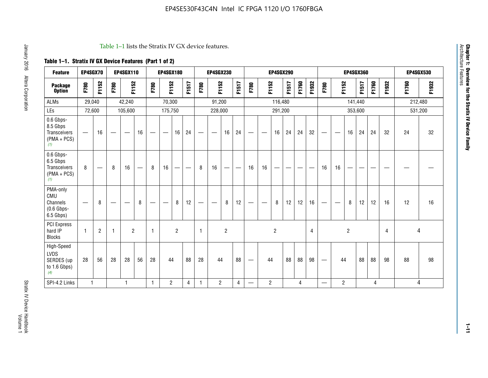#### Table 1–1 lists the Stratix IV GX device features.

# **Table 1–1. Stratix IV GX Device Features (Part 1 of 2)**

| <b>Feature</b>                                                       | EP4SGX70                         |                |                                | <b>EP4SGX110</b> |    |              | <b>EP4SGX180</b>  |                |       |                          | <b>EP4SGX230</b>              |                |                          |                                |                | <b>EP4SGX290</b> |       |       |       |                                |                   |                | <b>EP4SGX360</b> |       |       |         | <b>EP4SGX530</b> |
|----------------------------------------------------------------------|----------------------------------|----------------|--------------------------------|------------------|----|--------------|-------------------|----------------|-------|--------------------------|-------------------------------|----------------|--------------------------|--------------------------------|----------------|------------------|-------|-------|-------|--------------------------------|-------------------|----------------|------------------|-------|-------|---------|------------------|
| <b>Package</b><br><b>Option</b>                                      | F780                             | F1152          | F780                           | F1152            |    | F780         | F1152             |                | F1517 | F780                     | F1152                         |                | F1517                    | F780                           | F1152          |                  | F1517 | F1760 | F1932 | F780                           | F1152             |                | F1517            | F1760 | F1932 | F1760   | F1932            |
| ALMs                                                                 | 29,040                           |                |                                | 42,240           |    |              | 70,300            |                |       |                          | 91,200                        |                |                          |                                |                | 116,480          |       |       |       |                                |                   |                | 141,440          |       |       | 212,480 |                  |
| LEs                                                                  | 72,600                           |                |                                | 105,600          |    |              | 175,750           |                |       |                          | 228,000                       |                |                          |                                |                | 291,200          |       |       |       |                                |                   |                | 353,600          |       |       |         | 531,200          |
| 0.6 Gbps-<br>8.5 Gbps<br><b>Transceivers</b><br>$(PMA + PCs)$<br>(1) | $\overbrace{\phantom{12322111}}$ | 16             |                                | —                | 16 |              | $\hspace{0.05cm}$ | 16             | 24    |                          | $\overbrace{\phantom{aaaaa}}$ | 16             | 24                       | —                              |                | 16               | 24    | 24    | 32    | $\qquad \qquad \longleftarrow$ |                   | 16             | 24               | 24    | 32    | 24      | 32               |
| 0.6 Gbps-<br>6.5 Gbps<br>Transceivers<br>$(PMA + PCS)$<br>(1)        | 8                                |                | 8                              | 16               | -  | 8            | 16                | --             | —     | 8                        | 16                            | —              | $\overline{\phantom{m}}$ | 16                             | 16             |                  | –     |       |       | 16                             | 16                |                |                  |       |       |         |                  |
| PMA-only<br>CMU<br>Channels<br>$(0.6$ Gbps-<br>6.5 Gbps)             | $\overline{\phantom{0}}$         | 8              | $\qquad \qquad \longleftarrow$ |                  | 8  |              |                   | 8              | 12    | $\overline{\phantom{0}}$ |                               | 8              | 12                       | —                              | -              | 8                | 12    | 12    | 16    | $\overline{\phantom{0}}$       | $\hspace{0.05cm}$ | 8              | 12               | 12    | 16    | 12      | 16               |
| <b>PCI Express</b><br>hard IP<br><b>Blocks</b>                       | $\mathbf{1}$                     | $\overline{2}$ | -1                             | $\overline{2}$   |    | $\mathbf{1}$ |                   | $\overline{2}$ |       | $\mathbf{1}$             |                               | $\overline{c}$ |                          |                                |                | $\overline{2}$   |       |       | 4     |                                |                   | $\overline{2}$ |                  |       | 4     |         | 4                |
| High-Speed<br>LVDS<br>SERDES (up<br>to 1.6 Gbps)<br>(4)              | 28                               | 56             | 28                             | 28               | 56 | 28           | 44                |                | 88    | 28                       | 44                            |                | 88                       | $\qquad \qquad \longleftarrow$ | 44             |                  | 88    | 88    | 98    |                                | 44                |                | 88               | 88    | 98    | 88      | 98               |
| SPI-4.2 Links                                                        | $\mathbf{1}$                     |                |                                | 1                |    | $\mathbf{1}$ | $\overline{c}$    |                | 4     | 1                        | $\overline{c}$                |                | 4                        | —                              | $\overline{2}$ |                  |       | 4     |       | $\overline{\phantom{0}}$       | $\overline{2}$    |                |                  | 4     |       |         | 4                |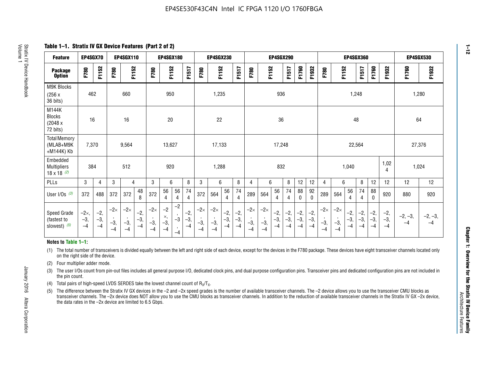**Table 1–1. Stratix IV GX Device Features (Part 2 of 2)**

| <b>Feature</b>                                       | EP4SGX70                |                        |                             | <b>EP4SGX110</b>            |                      |                             | <b>EP4SGX180</b>          |                      |                        |                             | <b>EP4SGX230</b>            |                      |                      |                            |                             | EP4SGX290              |                      |                      |                        |                             |                             |                        | <b>EP4SGX360</b>      |                      |                        | <b>EP4SGX530</b>  |                 |
|------------------------------------------------------|-------------------------|------------------------|-----------------------------|-----------------------------|----------------------|-----------------------------|---------------------------|----------------------|------------------------|-----------------------------|-----------------------------|----------------------|----------------------|----------------------------|-----------------------------|------------------------|----------------------|----------------------|------------------------|-----------------------------|-----------------------------|------------------------|-----------------------|----------------------|------------------------|-------------------|-----------------|
| <b>Package</b><br><b>Option</b>                      | F780                    | F1152                  | F780                        | F1152                       |                      | F780                        | F1152                     |                      | F1517                  | F780                        | F1152                       |                      | F1517                | F780                       | F1152                       |                        | F1517                | F1760                | F1932                  | F780                        | F1152                       |                        | F1517                 | F1760                | F1932                  | F1760             | F1932           |
| M9K Blocks<br>(256x)<br>36 bits)                     | 462                     |                        |                             | 660                         |                      |                             | 950                       |                      |                        |                             | 1,235                       |                      |                      |                            |                             | 936                    |                      |                      |                        |                             |                             | 1,248                  |                       |                      |                        |                   | 1,280           |
| M144K<br><b>Blocks</b><br>(2048 x<br>72 bits)        | 16                      |                        |                             | 16                          |                      |                             | 20                        |                      |                        |                             | 22                          |                      |                      |                            |                             | 36                     |                      |                      |                        |                             |                             | 48                     |                       |                      |                        | 64                |                 |
| <b>Total Memory</b><br>(MLAB+M9K<br>+M144K) Kb       | 7,370                   |                        |                             | 9,564                       |                      |                             | 13,627                    |                      |                        |                             | 17,133                      |                      |                      |                            |                             | 17,248                 |                      |                      |                        |                             |                             | 22,564                 |                       |                      |                        | 27,376            |                 |
| Embedded<br><b>Multipliers</b><br>$18 \times 18$ (2) | 384                     |                        |                             | 512                         |                      |                             | 920                       |                      |                        |                             | 1,288                       |                      |                      |                            |                             | 832                    |                      |                      |                        |                             |                             | 1,040                  |                       |                      | 1,02<br>4              | 1,024             |                 |
| PLLs                                                 | 3                       | $\overline{4}$         | 3                           | 4                           |                      | 3                           | 6                         |                      | 8                      | 3                           | 6                           |                      | 8                    | 4                          | 6                           |                        | 8                    | 12                   | 12                     | 4                           | 6                           |                        | 8                     | 12                   | 12                     | 12                | 12              |
| User $I/Os$ (3)                                      | 372                     | 488                    | 372                         | 372                         | 48<br>8              | 372                         | 56<br>4                   | 56<br>4              | 74<br>4                | 372                         | 564                         | 56<br>$\overline{4}$ | 74<br>$\overline{4}$ | 289                        | 564                         | 56<br>4                | 74<br>4              | 88<br>0              | 92<br>$\mathbf 0$      | 289                         | 564                         | 56<br>4                | 74<br>4               | 88<br>$\mathbf{0}$   | 920                    | 880               | 920             |
| Speed Grade<br>(fastest to<br>slowest) (5)           | $-2x,$<br>$-3,$<br>$-4$ | $-2,$<br>$-3,$<br>$-4$ | $-2\times$<br>$-3,$<br>$-4$ | $-2\times$<br>$-3,$<br>$-4$ | $-2,$<br>-3,<br>$-4$ | $-2\times$<br>$-3,$<br>$-4$ | $-2$<br>×,<br>$-3,$<br>-4 | $-2$<br>$-3$<br>$-4$ | $-2,$<br>$-3,$<br>$-4$ | $-2\times$<br>$-3,$<br>$-4$ | $-2\times$<br>$-3,$<br>$-4$ | $-2,$<br>-3,<br>$-4$ | $-2,$<br>-3,<br>$-4$ | $-2\times$<br>$-3$<br>$-4$ | $-2\times$<br>$-3,$<br>$-4$ | $-2,$<br>$-3,$<br>$-4$ | $-2,$<br>-3,<br>$-4$ | $-2,$<br>-3,<br>$-4$ | $-2,$<br>$-3,$<br>$-4$ | $-2\times$<br>$-3,$<br>$-4$ | $-2\times$<br>$-3,$<br>$-4$ | $-2,$<br>$-3,$<br>$-4$ | $-2,$<br>$-3$<br>$-4$ | $-2,$<br>-3,<br>$-4$ | $-2,$<br>$-3,$<br>$-4$ | $-2, -3,$<br>$-4$ | $-2, -3,$<br>-4 |

#### **Notes to Table 1–1:**

(1) The total number of transceivers is divided equally between the left and right side of each device, except for the devices in the F780 package. These devices have eight transceiver channels located only on the right side of the device.

(2) Four multiplier adder mode.

(3) The user I/Os count from pin-out files includes all general purpose I/O, dedicated clock pins, and dual purpose configuration pins. Transceiver pins and dedicated configuration pins are not included in the pin count.

- (4) Total pairs of high-speed LVDS SERDES take the lowest channel count of  $R_X/T_X$ .
- (5) The difference between the Stratix IV GX devices in the –2 and –2x speed grades is the number of available transceiver channels. The –2 device allows you to use the transceiver CMU blocks as transceiver channels. The –2x device does NOT allow you to use the CMU blocks as transceiver channels. In addition to the reduction of available transceiver channels in the Stratix IV GX –2x device, the data rates in the –2x device are limited to 6.5 Gbps.

January 2016 Altera Corporation

Altera Corporation

January 2016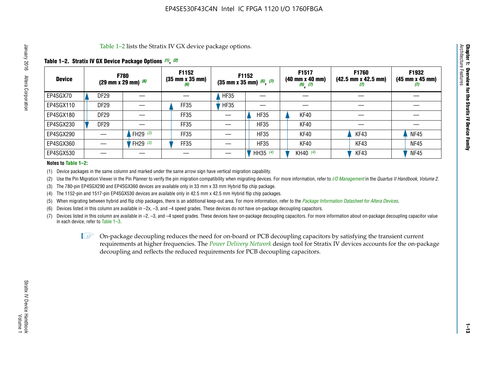Table 1–2 lists the Stratix IV GX device package options.

### **Table 1–2. Stratix IV GX Device Package Options** *(1)***,** *(2)*

| <b>Device</b> | <b>F780</b><br>(29 mm x 29 mm) $(6)$ |                                  | F1152<br>$(35 \, \text{mm} \times 35 \, \text{mm})$<br>(6) |             | F1152<br>$(35$ mm x 35 mm) $(5)$ , $(7)$ | F1517<br>(40 mm x 40 mm)<br>$(5)$ $(7)$ | <b>F1760</b><br>$(42.5 \text{ mm} \times 42.5 \text{ mm})$<br>$\boldsymbol{U}$ | F1932<br>$(45 \, \text{mm} \times 45 \, \text{mm})$<br>(7) |
|---------------|--------------------------------------|----------------------------------|------------------------------------------------------------|-------------|------------------------------------------|-----------------------------------------|--------------------------------------------------------------------------------|------------------------------------------------------------|
| EP4SGX70      | <b>DF29</b>                          |                                  |                                                            | HF35        |                                          |                                         |                                                                                |                                                            |
| EP4SGX110     | <b>DF29</b>                          |                                  | <b>FF35</b>                                                | <b>HF35</b> |                                          |                                         |                                                                                |                                                            |
| EP4SGX180     | DF <sub>29</sub>                     |                                  | FF35                                                       |             | <b>HF35</b>                              | KF40                                    |                                                                                |                                                            |
| EP4SGX230     | <b>DF29</b>                          |                                  | FF35                                                       |             | <b>HF35</b>                              | KF40                                    |                                                                                |                                                            |
| EP4SGX290     |                                      | FH29 $(3)$                       | FF35                                                       |             | <b>HF35</b>                              | <b>KF40</b>                             | KF43                                                                           | <b>NF45</b>                                                |
| EP4SGX360     |                                      | <sup>'</sup> FH29 <sup>(3)</sup> | <b>FF35</b>                                                |             | <b>HF35</b>                              | <b>KF40</b>                             | KF43                                                                           | <b>NF45</b>                                                |
| EP4SGX530     |                                      |                                  |                                                            |             | HH35 (4)                                 | KH40 (4)                                | KF43                                                                           | <b>NF45</b>                                                |

#### **Notes to Table 1–2:**

(1) Device packages in the same column and marked under the same arrow sign have vertical migration capability.

(2) Use the Pin Migration Viewer in the Pin Planner to verify the pin migration compatibility when migrating devices. For more information, refer to *[I/O Management](http://www.altera.com/literature/hb/qts/qts_qii52013.pdf)* in the *Quartus II Handbook, Volume 2*.

(3) The 780-pin EP4SGX290 and EP4SGX360 devices are available only in 33 mm x 33 mm Hybrid flip chip package.

(4) The 1152-pin and 1517-pin EP4SGX530 devices are available only in 42.5 mm x 42.5 mm Hybrid flip chip packages.

(5) When migrating between hybrid and flip chip packages, there is an additional keep-out area. For more information, refer to the *[Package Information Datasheet for Altera Devices](http://www.altera.com/literature/ds/dspkg.pdf)*.

(6) Devices listed in this column are available in –2x, –3, and –4 speed grades. These devices do not have on-package decoupling capacitors.

(7) Devices listed in this column are available in –2, –3, and –4 speed grades. These devices have on-package decoupling capacitors. For more information about on-package decoupling capacitor value in each device, refer to Table 1–3.

 $\mathbb{L}$ s On-package decoupling reduces the need for on-board or PCB decoupling capacitors by satisfying the transient current requirements at higher frequencies. The *[Power Delivery Network](http://www.altera.com/literature/ug/pdn_tool_stxiv.zip)* design tool for Stratix IV devices accounts for the on-package decoupling and reflects the reduced requirements for PCB decoupling capacitors.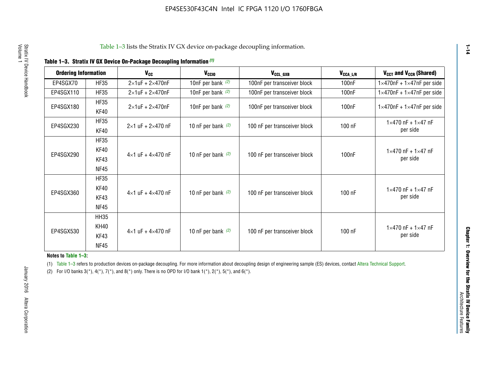|  | Table 1-3. Stratix IV GX Device On-Package Decoupling Information (1) |  |
|--|-----------------------------------------------------------------------|--|
|--|-----------------------------------------------------------------------|--|

| <b>Ordering Information</b> |             | <b>V<sub>cc</sub></b>               | V <sub>ccio</sub>    | V <sub>CCL_GXB</sub>         | $V_{\texttt{CCA}\_\textsf{L/R}}$ | $V_{CCT}$ and $V_{CCR}$ (Shared)              |
|-----------------------------|-------------|-------------------------------------|----------------------|------------------------------|----------------------------------|-----------------------------------------------|
|                             |             |                                     |                      |                              |                                  |                                               |
| EP4SGX70                    | <b>HF35</b> | $2\times1$ uF + $2\times470$ nF     | 10nF per bank $(2)$  | 100nF per transceiver block  | 100nF                            | $1 \times 470$ nF + $1 \times 47$ nF per side |
| EP4SGX110                   | <b>HF35</b> | $2\times1$ uF + 2 $\times$ 470nF    | 10nF per bank $(2)$  | 100nF per transceiver block  | 100 <sub>nF</sub>                | $1\times470$ nF + $1\times47$ nF per side     |
| EP4SGX180                   | <b>HF35</b> | $2\times1$ uF + $2\times470$ nF     | 10nF per bank $(2)$  | 100nF per transceiver block  | 100 <sub>n</sub> F               | $1 \times 470$ nF + $1 \times 47$ nF per side |
|                             | KF40        |                                     |                      |                              |                                  |                                               |
|                             | <b>HF35</b> |                                     |                      |                              |                                  | $1 \times 470$ nF + $1 \times 47$ nF          |
| EP4SGX230                   | KF40        | $2\times1$ uF + $2\times470$ nF     | 10 nF per bank $(2)$ | 100 nF per transceiver block | 100 nF                           | per side                                      |
|                             | <b>HF35</b> |                                     |                      |                              |                                  |                                               |
|                             | KF40        |                                     |                      |                              |                                  | $1 \times 470$ nF + $1 \times 47$ nF          |
| EP4SGX290                   | KF43        | $4 \times 1$ uF + $4 \times 470$ nF | 10 nF per bank $(2)$ | 100 nF per transceiver block | 100nF                            | per side                                      |
|                             | <b>NF45</b> |                                     |                      |                              |                                  |                                               |
|                             | <b>HF35</b> |                                     |                      |                              |                                  |                                               |
|                             | KF40        |                                     |                      |                              |                                  | $1 \times 470$ nF + $1 \times 47$ nF          |
| EP4SGX360                   | KF43        | $4 \times 1$ uF + $4 \times 470$ nF | 10 nF per bank $(2)$ | 100 nF per transceiver block | 100 nF                           | per side                                      |
|                             | <b>NF45</b> |                                     |                      |                              |                                  |                                               |
|                             | <b>HH35</b> |                                     |                      |                              |                                  |                                               |
| <b>KH40</b>                 |             |                                     |                      |                              |                                  | $1 \times 470$ nF + $1 \times 47$ nF          |
| EP4SGX530                   | KF43        | $4 \times 1$ uF + $4 \times 470$ nF | 10 nF per bank $(2)$ | 100 nF per transceiver block | 100 nF                           | per side                                      |
|                             | <b>NF45</b> |                                     |                      |                              |                                  |                                               |

**Notes to Table 1–3:**

(1) Table 1-3 refers to production devices on-package decoupling. For more information about decoupling design of engineering sample (ES) devices, contact [Altera Technical Support](http://mysupport.altera.com/eservice/login.asp).

(2) For I/O banks  $3(*)$ ,  $4(*)$ ,  $7(*)$ , and  $8(*)$  only. There is no OPD for I/O bank  $1(*)$ ,  $2(*)$ ,  $5(*)$ , and  $6(*)$ .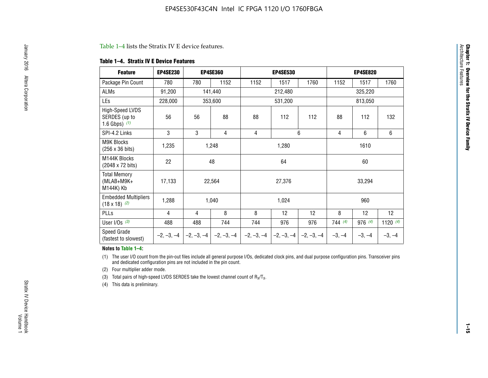#### Table 1–4 lists the Stratix IV E device features.

#### **Table 1–4. Stratix IV E Device Features**

| <b>Feature</b>                                      | <b>EP4SE230</b> |     | <b>EP4SE360</b>                        |              | <b>EP4SE530</b> |              |          | <b>EP4SE820</b> |            |
|-----------------------------------------------------|-----------------|-----|----------------------------------------|--------------|-----------------|--------------|----------|-----------------|------------|
| Package Pin Count                                   | 780             | 780 | 1152                                   | 1152         | 1517            | 1760         | 1152     | 1517            | 1760       |
| ALMs                                                | 91,200          |     | 141,440                                |              | 212,480         |              |          | 325,220         |            |
| LEs                                                 | 228,000         |     | 353,600                                |              | 531,200         |              | 813,050  |                 |            |
| High-Speed LVDS<br>SERDES (up to<br>1.6 Gbps) $(1)$ | 56              | 56  | 88                                     | 88           | 112             | 112          | 88       | 112             | 132        |
| SPI-4.2 Links                                       | 3               | 3   | 4                                      | 6<br>4       |                 |              | 4        | 6               | 6          |
| <b>M9K Blocks</b><br>(256 x 36 bits)                | 1,235           |     | 1,248                                  |              | 1,280           |              |          | 1610            |            |
| M144K Blocks<br>(2048 x 72 bits)                    | 22              |     | 48                                     |              | 64              |              | 60       |                 |            |
| <b>Total Memory</b><br>$(MLAB+M9K+$<br>M144K) Kb    | 17,133          |     | 22,564                                 |              | 27,376          |              |          | 33,294          |            |
| <b>Embedded Multipliers</b><br>$(18 \times 18)$ (2) | 1,288           |     | 1,040                                  |              | 1,024           |              |          | 960             |            |
| PLLs                                                | 4               | 4   | 8                                      | 8            | 12              | 12           | 8        | 12              | 12         |
| User I/Os $(3)$                                     | 488             | 488 | 744                                    | 744          | 976             | 976          | 744(4)   | 976 (4)         | 1120 $(4)$ |
| Speed Grade<br>(fastest to slowest)                 |                 |     | $-2, -3, -4$ $-2, -3, -4$ $-2, -3, -4$ | $-2, -3, -4$ | $-2, -3, -4$    | $-2, -3, -4$ | $-3, -4$ | $-3, -4$        | $-3, -4$   |

#### **Notes to Table 1–4:**

(1) The user I/O count from the pin-out files include all general purpose I/Os, dedicated clock pins, and dual purpose configuration pins. Transceiver pins and dedicated configuration pins are not included in the pin count.

(2) Four multiplier adder mode.

(3) Total pairs of high-speed LVDS SERDES take the lowest channel count of  $R_X/T_X$ .

(4) This data is preliminary.

**Chapter 1: Overview for the Stratix IV Device Family**

**Chapter 1: Overview for the Stratix IV Device Family**<br>Architecture Faatures

Architecture Features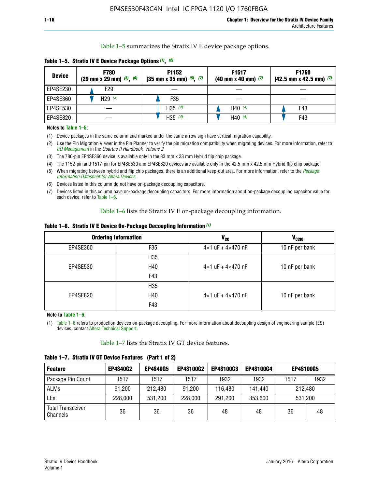Table 1–5 summarizes the Stratix IV E device package options.

| <b>Device</b> | <b>F780</b><br>$(29 \text{ mm} \times 29 \text{ mm})$ $(5)$ , $(6)$ | F1152<br>$(35 \text{ mm} \times 35 \text{ mm})$ $(5)$ , $(7)$ | F <sub>1517</sub><br>$(40 \text{ mm} \times 40 \text{ mm})$ (7) | <b>F1760</b><br>$(42.5$ mm x 42.5 mm) $(7)$ |  |  |
|---------------|---------------------------------------------------------------------|---------------------------------------------------------------|-----------------------------------------------------------------|---------------------------------------------|--|--|
| EP4SE230      | F29                                                                 |                                                               |                                                                 |                                             |  |  |
| EP4SE360      | H <sub>29</sub> $(3)$                                               | F35                                                           |                                                                 |                                             |  |  |
| EP4SE530      |                                                                     | H35 $(4)$                                                     | H40 $(4)$                                                       | F43                                         |  |  |
| EP4SE820      |                                                                     | H35 $(4)$                                                     | H40 $(4)$                                                       | F43                                         |  |  |

**Table 1–5. Stratix IV E Device Package Options** *(1)***,** *(2)*

#### **Notes to Table 1–5:**

(1) Device packages in the same column and marked under the same arrow sign have vertical migration capability.

(2) Use the Pin Migration Viewer in the Pin Planner to verify the pin migration compatibility when migrating devices. For more information, refer to *[I/O Management](http://www.altera.com/literature/hb/qts/qts_qii52013.pdf)* in the *Quartus II Handbook, Volume 2*.

(3) The 780-pin EP4SE360 device is available only in the 33 mm x 33 mm Hybrid flip chip package.

(4) The 1152-pin and 1517-pin for EP4SE530 and EP4SE820 devices are available only in the 42.5 mm x 42.5 mm Hybrid flip chip package.

(5) When migrating between hybrid and flip chip packages, there is an additional keep-out area. For more information, refer to the *[Package](http://www.altera.com/literature/ds/dspkg.pdf)  [Information Datasheet for Altera Devices](http://www.altera.com/literature/ds/dspkg.pdf)*.

(6) Devices listed in this column do not have on-package decoupling capacitors.

(7) Devices listed in this column have on-package decoupling capacitors. For more information about on-package decoupling capacitor value for each device, refer to Table 1–6.

Table 1–6 lists the Stratix IV E on-package decoupling information.

| Table 1–6. Stratix IV E Device On-Package Decoupling Information (1) |  |  |  |  |  |
|----------------------------------------------------------------------|--|--|--|--|--|
|----------------------------------------------------------------------|--|--|--|--|--|

|          | <b>Ordering Information</b> | V <sub>cc</sub>                     | <b>V<sub>CCIO</sub></b> |  |  |
|----------|-----------------------------|-------------------------------------|-------------------------|--|--|
| EP4SE360 | F <sub>35</sub>             | $4 \times 1$ uF + $4 \times 470$ nF | 10 nF per bank          |  |  |
|          | H35                         |                                     |                         |  |  |
| EP4SE530 | H40                         | $4\times1$ uF + $4\times470$ nF     | 10 nF per bank          |  |  |
|          | F43                         |                                     |                         |  |  |
|          | H35                         |                                     |                         |  |  |
| EP4SE820 | H40                         | $4\times1$ uF + $4\times470$ nF     | 10 nF per bank          |  |  |
|          | F43                         |                                     |                         |  |  |

**Note to Table 1–6:**

(1) Table 1–6 refers to production devices on-package decoupling. For more information about decoupling design of engineering sample (ES) devices, contact [Altera Technical Support](http://mysupport.altera.com/eservice/login.asp).

Table 1–7 lists the Stratix IV GT device features.

| <b>Feature</b>                       | <b>EP4S40G2</b> | <b>EP4S40G5</b> | <b>EP4S100G2</b> | <b>EP4S100G3</b> | <b>EP4S100G4</b> | <b>EP4S100G5</b> |      |
|--------------------------------------|-----------------|-----------------|------------------|------------------|------------------|------------------|------|
| Package Pin Count                    | 1517            | 1517            | 1517             | 1932             | 1932             | 1517             | 1932 |
| <b>ALMs</b>                          | 91,200          | 212,480         | 91,200           | 116,480          | 141,440          | 212.480          |      |
| LEs                                  | 228,000         | 531,200         | 228,000          | 291,200          | 353,600          | 531,200          |      |
| <b>Total Transceiver</b><br>Channels | 36              | 36              | 36               | 48               | 48               | 36               | 48   |

**Table 1–7. Stratix IV GT Device Features (Part 1 of 2)**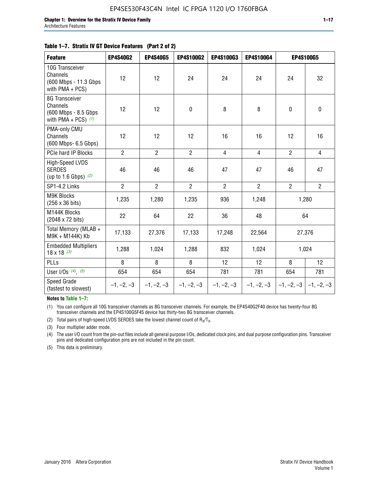#### **Table 1–7. Stratix IV GT Device Features (Part 2 of 2)**

| <b>Feature</b>                                                                     | <b>EP4S40G2</b> | <b>EP4S40G5</b> | <b>EP4S100G2</b> | <b>EP4S100G3</b> | <b>EP4S100G4</b> | EP4S100G5                 |                |
|------------------------------------------------------------------------------------|-----------------|-----------------|------------------|------------------|------------------|---------------------------|----------------|
| 10G Transceiver<br><b>Channels</b><br>(600 Mbps - 11.3 Gbps)<br>with $PMA + PCS$ ) | 12              | 12              | 24               | 24               | 24               | 24                        | 32             |
| 8G Transceiver<br>Channels<br>(600 Mbps - 8.5 Gbps<br>with PMA + PCS) $(1)$        | 12              | 12              | $\pmb{0}$        | 8                | 8                | $\mathbf 0$               | $\pmb{0}$      |
| PMA-only CMU<br>Channels<br>(600 Mbps- 6.5 Gbps)                                   | 12              | 12              | 12               | 16               | 16               | 12                        | 16             |
| PCIe hard IP Blocks                                                                | $\overline{2}$  | $\overline{2}$  | $\overline{2}$   | $\overline{4}$   | $\overline{4}$   | $\overline{2}$            | $\overline{4}$ |
| <b>High-Speed LVDS</b><br><b>SERDES</b><br>(up to 1.6 Gbps) $(2)$                  | 46              | 46              | 46               | 47               | 47               | 46                        | 47             |
| SP1-4.2 Links                                                                      | $\overline{2}$  | $\overline{2}$  | $\overline{2}$   | $\overline{2}$   | $\overline{2}$   | $\overline{2}$            | $\overline{2}$ |
| <b>M9K Blocks</b><br>(256 x 36 bits)                                               | 1,235           | 1,280           | 1,235            | 936              | 1,248            |                           | 1,280          |
| M144K Blocks<br>(2048 x 72 bits)                                                   | 22              | 64              | 22               | 36               | 48               |                           | 64             |
| Total Memory (MLAB +<br>M9K + M144K) Kb                                            | 17,133          | 27,376          | 17,133           | 17,248           | 22,564           |                           | 27,376         |
| <b>Embedded Multipliers</b><br>$18 \times 18^{(3)}$                                | 1,288           | 1,024           | 1,288            | 832              | 1,024            |                           | 1,024          |
| PLLs                                                                               | 8               | 8               | 8                | 12               | 12               | 8                         | 12             |
| User I/Os $(4)$ , $(5)$                                                            | 654             | 654             | 654              | 781              | 781              | 654                       | 781            |
| Speed Grade<br>(fastest to slowest)                                                | $-1, -2, -3$    | $-1, -2, -3$    | $-1, -2, -3$     | $-1, -2, -3$     | $-1, -2, -3$     | $-1, -2, -3$ $-1, -2, -3$ |                |

**Notes to Table 1–7:**

(1) You can configure all 10G transceiver channels as 8G transceiver channels. For example, the EP4S40G2F40 device has twenty-four 8G transceiver channels and the EP4S100G5F45 device has thirty-two 8G transceiver channels.

(2) Total pairs of high-speed LVDS SERDES take the lowest channel count of  $R_X/T_X$ .

(3) Four multiplier adder mode.

(4) The user I/O count from the pin-out files include all general purpose I/Os, dedicated clock pins, and dual purpose configuration pins. Transceiver pins and dedicated configuration pins are not included in the pin count.

(5) This data is preliminary.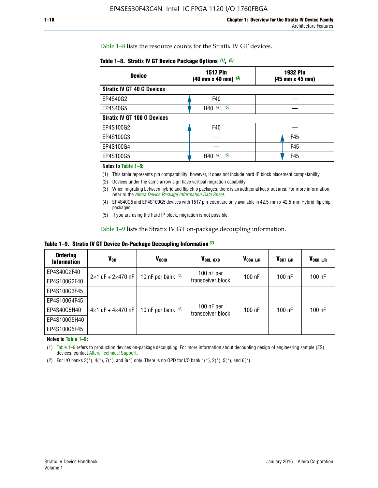Table 1–8 lists the resource counts for the Stratix IV GT devices.

| <b>Device</b>                      | <b>1517 Pin</b><br><b>1932 Pin</b><br>$(40 \text{ mm} \times 40 \text{ mm})$ (3)<br>(45 mm x 45 mm) |     |  |
|------------------------------------|-----------------------------------------------------------------------------------------------------|-----|--|
| <b>Stratix IV GT 40 G Devices</b>  |                                                                                                     |     |  |
| EP4S40G2                           | F40                                                                                                 |     |  |
| EP4S40G5                           | H40 $(4)$ , $(5)$                                                                                   |     |  |
| <b>Stratix IV GT 100 G Devices</b> |                                                                                                     |     |  |
| EP4S100G2                          | F40                                                                                                 |     |  |
| EP4S100G3                          |                                                                                                     | F45 |  |
| EP4S100G4                          |                                                                                                     | F45 |  |
| EP4S100G5                          | H40 $(4)$ $(5)$                                                                                     | F45 |  |

#### **Notes to Table 1–8:**

(1) This table represents pin compatability; however, it does not include hard IP block placement compatability.

- (2) Devices under the same arrow sign have vertical migration capability.
- (3) When migrating between hybrid and flip chip packages, there is an additional keep-out area. For more information, refer to the *[Altera Device Package Information Data Sheet](http://www.altera.com/literature/ds/dspkg.pdf)*.
- (4) EP4S40G5 and EP4S100G5 devices with 1517 pin-count are only available in 42.5-mm x 42.5-mm Hybrid flip chip packages.
- (5) If you are using the hard IP block, migration is not possible.

Table 1–9 lists the Stratix IV GT on-package decoupling information.

**Table 1–9. Stratix IV GT Device On-Package Decoupling Information** *(1)*

| <b>Ordering</b><br><b>Information</b> | Vcc                                 | <b>V<sub>CCIO</sub></b> | V <sub>CCL GXB</sub>            | V <sub>CCA L/R</sub> | V <sub>CCT L/R</sub> | V <sub>CCR L/R</sub> |
|---------------------------------------|-------------------------------------|-------------------------|---------------------------------|----------------------|----------------------|----------------------|
| EP4S40G2F40                           | $2 \times 1$ uF + $2 \times 470$ nF | 10 nF per bank $(2)$    | 100 nF per<br>transceiver block | 100 nF               | $100$ nF             | $100$ nF             |
| EP4S100G2F40                          |                                     |                         |                                 |                      |                      |                      |
| EP4S100G3F45                          |                                     | 10 nF per bank $(2)$    | 100 nF per<br>transceiver block | 100 nF               | $100$ nF             | $100$ nF             |
| EP4S100G4F45                          |                                     |                         |                                 |                      |                      |                      |
| EP4S40G5H40                           | $4 \times 1$ uF + $4 \times 470$ nF |                         |                                 |                      |                      |                      |
| EP4S100G5H40                          |                                     |                         |                                 |                      |                      |                      |
| EP4S100G5F45                          |                                     |                         |                                 |                      |                      |                      |

**Notes to Table 1–9:**

(1) Table 1–9 refers to production devices on-package decoupling. For more information about decoupling design of engineering sample (ES) devices, contact [Altera Technical Support](http://mysupport.altera.com/eservice/login.asp).

(2) For I/O banks  $3(*)$ ,  $4(*)$ ,  $7(*)$ , and  $8(*)$  only. There is no OPD for I/O bank  $1(*)$ ,  $2(*)$ ,  $5(*)$ , and  $6(*)$ .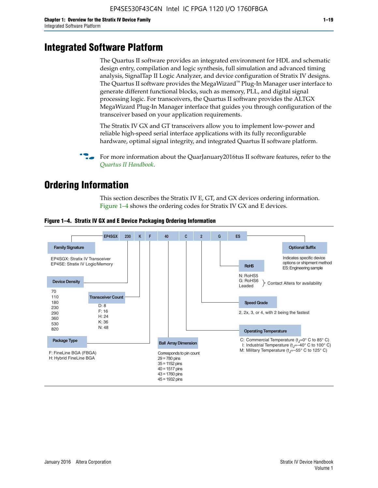# **Integrated Software Platform**

The Quartus II software provides an integrated environment for HDL and schematic design entry, compilation and logic synthesis, full simulation and advanced timing analysis, SignalTap II Logic Analyzer, and device configuration of Stratix IV designs. The Quartus II software provides the MegaWizard<sup> $M$ </sup> Plug-In Manager user interface to generate different functional blocks, such as memory, PLL, and digital signal processing logic. For transceivers, the Quartus II software provides the ALTGX MegaWizard Plug-In Manager interface that guides you through configuration of the transceiver based on your application requirements.

The Stratix IV GX and GT transceivers allow you to implement low-power and reliable high-speed serial interface applications with its fully reconfigurable hardware, optimal signal integrity, and integrated Quartus II software platform.

For more information about the QuarJanuary2016tus II software features, refer to the *[Quartus II Handbook](http://www.altera.com/literature/lit-qts.jsp)*.

# **Ordering Information**

This section describes the Stratix IV E, GT, and GX devices ordering information. Figure 1–4 shows the ordering codes for Stratix IV GX and E devices.



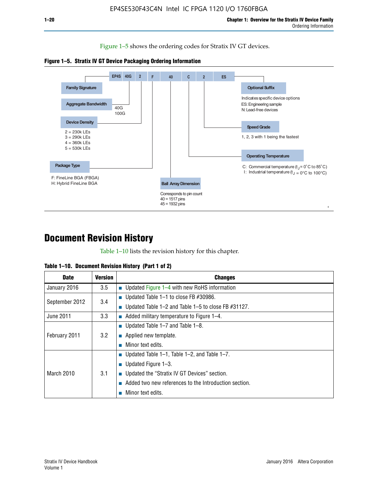Figure 1–5 shows the ordering codes for Stratix IV GT devices.





# **Document Revision History**

Table 1–10 lists the revision history for this chapter.

| Table 1–10. Document Revision History (Part 1 of 2) |  |  |  |  |  |
|-----------------------------------------------------|--|--|--|--|--|
|-----------------------------------------------------|--|--|--|--|--|

| <b>Date</b>       | Version | <b>Changes</b>                                         |
|-------------------|---------|--------------------------------------------------------|
| January 2016      | 3.5     | <b>Updated Figure 1–4 with new RoHS information</b>    |
| September 2012    | 3.4     | ■ Updated Table 1–1 to close FB $#30986$ .             |
|                   |         | Updated Table 1–2 and Table 1–5 to close FB $#31127$ . |
| June 2011         | 3.3     | Added military temperature to Figure 1–4.              |
| February 2011     | 3.2     | ■ Updated Table 1–7 and Table 1–8.                     |
|                   |         | $\blacksquare$ Applied new template.                   |
|                   |         | Minor text edits.                                      |
| <b>March 2010</b> |         | <b>Updated Table 1–1, Table 1–2, and Table 1–7.</b>    |
|                   | 3.1     | ■ Updated Figure $1-3$ .                               |
|                   |         | ■ Updated the "Stratix IV GT Devices" section.         |
|                   |         | Added two new references to the Introduction section.  |
|                   |         | Minor text edits.                                      |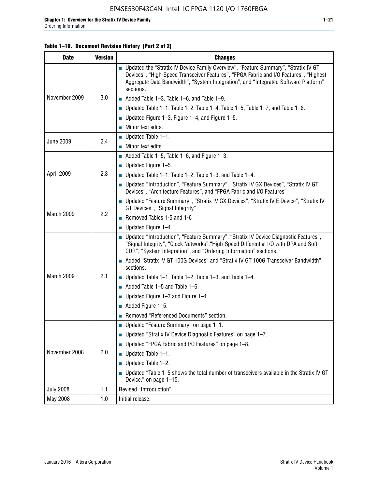### **Table 1–10. Document Revision History (Part 2 of 2)**

| <b>Date</b>      | <b>Version</b> | <b>Changes</b>                                                                                                                                                                                                                                                                    |  |  |
|------------------|----------------|-----------------------------------------------------------------------------------------------------------------------------------------------------------------------------------------------------------------------------------------------------------------------------------|--|--|
|                  |                | ■ Updated the "Stratix IV Device Family Overview", "Feature Summary", "Stratix IV GT<br>Devices", "High-Speed Transceiver Features", "FPGA Fabric and I/O Features", "Highest<br>Aggregate Data Bandwidth", "System Integration", and "Integrated Software Platform"<br>sections. |  |  |
| November 2009    | 3.0            | $\blacksquare$ Added Table 1-3, Table 1-6, and Table 1-9.                                                                                                                                                                                                                         |  |  |
|                  |                | $\blacksquare$ Updated Table 1-1, Table 1-2, Table 1-4, Table 1-5, Table 1-7, and Table 1-8.                                                                                                                                                                                      |  |  |
|                  |                | ■ Updated Figure 1–3, Figure 1–4, and Figure 1–5.                                                                                                                                                                                                                                 |  |  |
|                  |                | $\blacksquare$ Minor text edits.                                                                                                                                                                                                                                                  |  |  |
| <b>June 2009</b> |                | $\blacksquare$ Updated Table 1-1.                                                                                                                                                                                                                                                 |  |  |
|                  | 2.4            | $\blacksquare$ Minor text edits.                                                                                                                                                                                                                                                  |  |  |
|                  |                | $\blacksquare$ Added Table 1-5, Table 1-6, and Figure 1-3.                                                                                                                                                                                                                        |  |  |
|                  |                | $\blacksquare$ Updated Figure 1-5.                                                                                                                                                                                                                                                |  |  |
| April 2009       | 2.3            | ■ Updated Table 1–1, Table 1–2, Table 1–3, and Table 1–4.                                                                                                                                                                                                                         |  |  |
|                  |                | ■ Updated "Introduction", "Feature Summary", "Stratix IV GX Devices", "Stratix IV GT<br>Devices", "Architecture Features", and "FPGA Fabric and I/O Features"                                                                                                                     |  |  |
|                  | 2.2            | ■ Updated "Feature Summary", "Stratix IV GX Devices", "Stratix IV E Device", "Stratix IV<br>GT Devices", "Signal Integrity"                                                                                                                                                       |  |  |
| March 2009       |                | Removed Tables 1-5 and 1-6                                                                                                                                                                                                                                                        |  |  |
|                  |                | $\blacksquare$ Updated Figure 1-4                                                                                                                                                                                                                                                 |  |  |
|                  |                | ■ Updated "Introduction", "Feature Summary", "Stratix IV Device Diagnostic Features",<br>"Signal Integrity", "Clock Networks", "High-Speed Differential I/O with DPA and Soft-<br>CDR", "System Integration", and "Ordering Information" sections.                                |  |  |
|                  |                | ■ Added "Stratix IV GT 100G Devices" and "Stratix IV GT 100G Transceiver Bandwidth"<br>sections.                                                                                                                                                                                  |  |  |
| March 2009       | 2.1            | ■ Updated Table 1–1, Table 1–2, Table 1–3, and Table 1–4.                                                                                                                                                                                                                         |  |  |
|                  |                | $\blacksquare$ Added Table 1–5 and Table 1–6.                                                                                                                                                                                                                                     |  |  |
|                  |                | ■ Updated Figure $1-3$ and Figure $1-4$ .                                                                                                                                                                                                                                         |  |  |
|                  |                | $\blacksquare$ Added Figure 1-5.                                                                                                                                                                                                                                                  |  |  |
|                  |                | Removed "Referenced Documents" section.                                                                                                                                                                                                                                           |  |  |
|                  | 2.0            | Updated "Feature Summary" on page 1-1.                                                                                                                                                                                                                                            |  |  |
| November 2008    |                | ■ Updated "Stratix IV Device Diagnostic Features" on page $1-7$ .                                                                                                                                                                                                                 |  |  |
|                  |                | Updated "FPGA Fabric and I/O Features" on page 1-8.                                                                                                                                                                                                                               |  |  |
|                  |                | Updated Table 1-1.                                                                                                                                                                                                                                                                |  |  |
|                  |                | Updated Table 1-2.                                                                                                                                                                                                                                                                |  |  |
|                  |                | Updated "Table 1-5 shows the total number of transceivers available in the Stratix IV GT<br>Device." on page 1-15.                                                                                                                                                                |  |  |
| <b>July 2008</b> | 1.1            | Revised "Introduction".                                                                                                                                                                                                                                                           |  |  |
| May 2008         | 1.0            | Initial release.                                                                                                                                                                                                                                                                  |  |  |